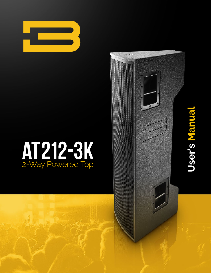

## AT212-3K 2-Way Powered Top

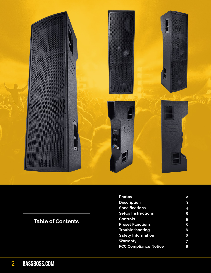

## **Table of Contents**

| <b>Photos</b>                | 2 |
|------------------------------|---|
| <b>Description</b>           | 3 |
| <b>Specifications</b>        | 4 |
| <b>Setup Instructions</b>    | 5 |
| <b>Controls</b>              | 5 |
| <b>Preset Functions</b>      | 5 |
| Troubleshooting              | 6 |
| <b>Safety Information</b>    |   |
| Warranty                     | 7 |
| <b>FCC Compliance Notice</b> | 8 |
|                              |   |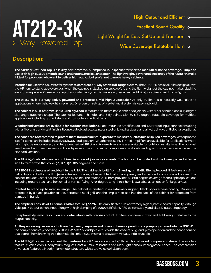

Light Weight for Easy Set-Up and Transport o-

Wide Coverage Rotatable Horn o-

## **Description:**

**The AT212-3K Attuned Top is a 2-way, self-powered, bi-amplified loudspeaker for short to medium distance coverage. Simple to use, with high output, smooth sound and natural musical character. The light weight, power and efficiency of the AT212-3K make it ideal for providers who want to deliver high output but prefer not to move heavy cabinets.**

**Intended for use with a subwoofer system to complete a 3-way active full-range system.** The AT212-3K has a tall, slim design allows the HF horn to stand above crowds when the cabinet is stacked on subwoofers and the light weight of the cabinet makes stacking easy for one person. One-man set up of a substantial system is made easy because the AT212-3K cabinets weigh only 89 lbs.

**The AT212-3K is a 2-Way active, powered and processed mid-high loudspeaker.** At only 89 lbs it is particularly well suited to applications where light weight is required. One-person set-up of a substantial system is easy and quick.

**The cabinet is built of 15mm Baltic Birch plywood**. It features an 18mm baffle, with dado joinery, 4 steel bar handles, and a 15 degree side angle trapezoid shape. The cabinet features 5 handles and 8 fly points, with 80 x 60 degree rotatable coverage for multiple applications including ground stack and horizontal or vertical flying.

**Weatherized versions are available for outdoor installations.** Rack-mounted amplification and waterproof input connections along with a fiberglass underlaid finish, silicone sealed gaskets, stainless steel grill and hardware and a hydrophobic grill cloth are optional.

**The cones are waterproofed to protect them from accidental exposure to moisture such as rain or spilled beverages.** Waterproofed woofer cones are included in all BASSBOSS loudspeakers. Weather resistant, IP rated amplifiers are available for applications where rain might be encountered, and fully weatherized RP (Rack Powered) versions are available for outdoor installations. The optional weatherized and weather resistant loudspeakers have the same components and outstanding acoustical performance as the standard versions.

**The AT212-3K cabinets can be combined in arrays of 3 or more cabinets.** The horn can be rotated and the boxes packed side-byside to form arrays that cover 90, 120, 150, 180 degrees and more.

**BASSBOSS cabinets are hand-built in the USA. The cabinet is built from 18 and 15mm Baltic Birch plywood.** It features an 18mm baffle, top and bottom, with 15mm sides and braces, all assembled with dado joinery and advanced, composite adhesives. The cabinet includes 4 steel bar-handles and fly points. The rotatable HF horn provides 80 x 60 degree coverage for multiple applications including ground stack and horizontal or vertical flying. A 30-degree long-throw horn is available as an option for large arrays.

**Created to stand up to intense usage**. The cabinet is finished in an extremely rugged, black polyurethane coating. Drivers are protected by a black powder coated, perforated steel grill, and the amp is recessed into the back of the cabinet for protection from damage in transit.

**The amplifier consists of 2 channels with a total of 3,000W.** The amplifier features extremely high dynamic power capacity, with 150 Volts peak output per channel, along with high damping of >10000:1 Efficient, PFC power supply and class D output topology.

**Exceptional dynamic resolution and detail along with precise control.** It offers low current draw and light weight relative to the output capacity.

**All the processing necessary for linear frequency response and phase coherent operation are pre-programmed into the DSP.** With the comprehensive processing built in, BASSBOSS loudspeakers provide the ease of plug-and-play operation and the peace of mind that comes from knowing that the multiple limiter systems make to system virtually indestructible.

**The AT212-3K is a vented cabinet that features two 12" woofers and a 1.4" throat, horn-loaded compression driver.** The woofers feature 4" voice coils, Neodymium magnets, cast aluminum baskets and ultra-light carbon-impregnated cones. The compression driver also features a Neodymium motor structure with a 2.5" voice coil diaphragm.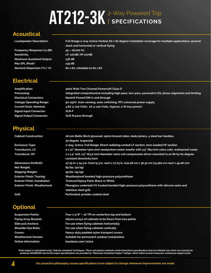# AT212-3K<sup>2-Way Powered Top</sup>

## **Acoustical**

| Frequency Response (±3 dB):      |  |
|----------------------------------|--|
| Sensitivity:                     |  |
| <b>Maximum Sustained Output:</b> |  |
| Max SPL (Peak)*                  |  |
| Nominal Dispersion ('H x 'V):    |  |

**Maximum Sustained Output: 136 dB Max SPL (Peak)\* 139 dB**

**Nominal Dispersion (°H x °V): 80 x 60, rotatable to 60 x 80**

## **Electrical**

**Loudspeaker Description: Full Range 2-way Active Vented, 80 x 60 degree (rotatable) coverage for multiple applications: ground stack and horizontal or vertical flying Frequency Response (±3 dB): 45 – 18,000 Hz Sensitivity: LF: 107dB; HF:107dB**

**Amplification: 3000 Watt Two Channel Powersoft Class D Processing: Integrated comprehensive including high-pass, low-pass, parametric EQ, phase alignment and limiting Electrical Connectors: Neutrik PowerCON in and through Voltage Operating Range: 90-250V. Auto-sensing, auto-switching, PFC universal power supply Current Draw, Nominal: 3.6A @ 120 Volts; 2A @ 220 Volts, (typical, 1/8 max power) Signal Input Connector: XLR-F Signal Output Connector: XLR-M pass-through**

## **Physical**

| <b>Cabinet Construction:</b>          | 18 mm Baltic Birch plywood, 15mm braced sides, dado joinery, 4 steel bar handles,                                               |
|---------------------------------------|---------------------------------------------------------------------------------------------------------------------------------|
|                                       | 30 degree trapezoid                                                                                                             |
| <b>Enclosure Type:</b>                | 2-way, Active, Full Range. Direct radiating vented LF section, horn-loaded HF section                                           |
| <b>Transducers, LF:</b>               | 2 x 12" diameter (300 mm) neodymium motor woofer with 3.5" (89 mm) voice coils, waterproof cones                                |
| <b>Transducer, HF:</b>                | 1 x 1.4" exit, 2.5" (63.5 mm) diameter voice coil compression driver mounted to an 80 by 60 degree<br>constant directivity horn |
| Dimensions (HxWxD):                   | 47.75 in. x 14.3 in. front (5.3 in. rear) x 17.75 in. (121.28 cm x 36.32 cm [13.462 cm rear] x 45.08 cm)                        |
| Net Weight:                           | 89 lbs. (40 kg)                                                                                                                 |
| <b>Shipping Weight:</b>               | 99 lbs. (45 kg)                                                                                                                 |
| <b>Exterior Finish, Touring:</b>      | Weatherproof bonded high-pressure polyurethane                                                                                  |
| <b>Exterior Finish, Installation:</b> | <b>Textured Epoxy Paint, Black or White</b>                                                                                     |
| <b>Exterior Finish, Weatherized:</b>  | Fiberglass underlaid UV treated bonded high-pressure polyurethane with silicone seals and                                       |
|                                       | stainless steel grill                                                                                                           |
| Grill:                                | Perforated, powder-coated steel                                                                                                 |

## **Optional**

| Four $x$ $3/8$ " – 16 TPI on centerline top and bottom |
|--------------------------------------------------------|
| Allows arrays of cabinets to be flown from two points  |
| For use when flying cabinets horizontally              |
| For use when flying cabinets vertically                |
| Heavy-duty padded nylon transport covers               |
| Suitable for permanent outdoor installations           |
| bassboss.com/at212                                     |
|                                                        |

'Peak output is calculated using "industry standard" techniques. These calculation methods create theoretical specifications that are inflated over what can actually be<br>achieved. BASSBOSS real world output specifications a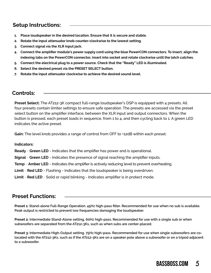## **Setup Instructions:**

- **1. Place loudspeaker in the desired location. Ensure that it is secure and stable.**
- **2. Rotate the input attenuator knob counter-clockwise to the lowest setting.**
- **3. Connect signal via the XLR input jack.**
- **4. Connect the amplifier module's power supply cord using the blue PowerCON connectors. To insert, align the indexing tabs on the PowerCON connector, insert into socket and rotate clockwise until the latch catches.**
- **5. Connect the electrical plug to a power source. Check that the "Ready" LED is illuminated.**
- **6. Select the desired preset via the PRESET SELECT button.**
- **7. Rotate the input attenuator clockwise to achieve the desired sound level.**

### **Controls:**

**Preset Select:** The AT212-3K compact full-range loudspeaker's DSP is equipped with 4 presets. All four presets contain limiter settings to ensure safe operation. The presets are accessed via the preset select button on the amplifier interface, between the XLR input and output connectors. When the button is pressed, each preset loads in sequence, from 1 to 4, and then cycling back to 1. A green LED indicates the active preset.

**Gain:** The level knob provides a range of control from OFF to +12dB within each preset.

#### **Indicators:**

**Ready** - **Green LED** - Indicates that the amplifier has power and is operational.

**Signal** - **Green LED** - Indicates the presence of signal reaching the amplifier inputs.

**Temp** - **Amber LED** - Indicates the amplifier is actively reducing level to prevent overheating.

**Limit** - **Red LED** - Flashing - Indicates that the loudspeaker is being overdriven.

**Limit** - **Red LED** - Solid or rapid blinking - Indicates amplifier is in protect mode.

## **Preset Functions:**

**Preset 1: Stand-alone Full-Range Operation. 45Hz high-pass filter. Recommended for use when no sub is available. Peak output is restricted to prevent low frequencies damaging the loudspeaker.**

**Preset 2: Intermediate Stand-Alone setting, 60Hz high-pass. Recommended for use with a single sub or when subwoofers are separated from the AT212-3Ks, such as when subs are center-placed.**

**Preset 3: Intermediate High-Output setting. 75Hz high-pass. Recommended for use when single subwoofers are colocated with the AT212-3Ks, such as if the AT212-3Ks are on a speaker pole above a subwoofer or on a tripod adjacent to a subwoofer.**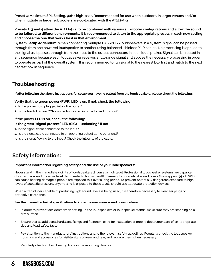**Preset 4: Maximum SPL Setting, 90Hz high-pass. Recommended for use when outdoors, in larger venues and/or when multiple or larger subwoofers are co-located with the AT212-3Ks.** 

#### **Presets 2, 3 and 4 allow the AT212-3Ks to be combined with various subwoofer configurations and allow the sound to be tailored to different environments. It is recommended to listen to the appropriate presets in each new setting and choose the one that works best in that environment.**

**System Setup Addendum:** When connecting multiple BASSBOSS loudspeakers in a system, signal can be passed through from one powered loudspeaker to another using balanced, shielded XLR cables. No processing is applied to the signal as it passes through from the input to the output connectors in each loudspeaker. Signal can be routed in any sequence because each loudspeaker receives a full-range signal and applies the necessary processing in order to operate as part of the overall system. It is recommended to run signal to the nearest box first and patch to the next nearest box in sequence.

## **Troubleshooting:**

**If after following the above instructions for setup you have no output from the loudspeakers, please check the following:**

#### **Verify that the green power (PWR) LED is on. If not, check the following:**

- **1.** Is the power cord plugged into a live outlet?
- **2.** Is the Neutrik PowerCON connector rotated into the locked position?

#### **If the power LED is on, check the following:**

#### **Is the green "signal present" LED (SIG) illuminating? If not:**

- **1.** Is the signal cable connected to the input?
- **2.** Is the signal cable connected to an operating output at the other end?
- **3.** Is the signal flowing to the input? Check the integrity of the cable.

## **Safety Information:**

#### **Important information regarding safety and the use of your loudspeakers:**

Never stand in the immediate vicinity of loudspeakers driven at a high level. Professional loudspeaker systems are capable of causing a sound pressure level detrimental to human health. Seemingly non-critical sound levels (from approx. 95 dB SPL) can cause hearing damage if people are exposed to it over a long period. To prevent potentially dangerous exposure to high levels of acoustic pressure, anyone who is exposed to these levels should use adequate protection devices.

When a transducer capable of producing high sound levels is being used, it is therefore necessary to wear ear plugs or protective earphones.

#### **See the manual technical specifications to know the maximum sound pressure level.**

- In order to prevent accidents when setting up the loudspeakers or loudspeaker stands, make sure they are standing on a firm surface.
- Ensure that all additional hardware, fixings and fasteners used for installation or mobile deployment are of an appropriate size and load safety factor.
- Pay attention to the manufacturers' instructions and to the relevant safety guidelines. Regularly check the loudspeaker housings and accessories for visible signs of wear and tear, and replace them when necessary.
- Regularly check all load bearing bolts in the mounting devices.

## 6 **bassboss.com bassboss.com**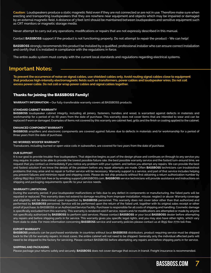**Caution:** Loudspeakers produce a static magnetic field even if they are not connected or are not in use. Therefore make sure when erecting and transporting loudspeakers that they are nowhere near equipment and objects which may be impaired or damaged by an external magnetic field. A distance of 3 feet (1m) should be maintained between loudspeakers and sensitive equipment such as CRT monitors or magnetic storage media.

Never attempt to carry out any operations, modifications or repairs that are not expressly described in this manual.

Contact **BASSBOSS** support if the product is not functioning properly. Do not attempt to repair the product - We can help!

**BASSBOSS** strongly recommends this product be installed by a qualified, professional installer who can ensure correct installation and certify that it is installed in compliance with the regulations in force.

The entire audio system must comply with the current local standards and regulations regarding electrical systems.

## **Important Notes:**

**To prevent the occurrence of noise on signal cables, use shielded cables only. Avoid routing signal cables close to equipment that produces high-intensity electromagnetic fields such as transformers, power cables and loudspeaker wires. Do not coil excess power cable. Do not coil or wrap power cables and signal cables together.**

#### Thanks for joining the BASSBOSS Family!

**WARRANTY INFORMATION –** Our fully-transferable warranty covers all BASSBOSS products.

#### **STANDARD CABINET WARRANTY**

**BASSBOSS** loudspeaker cabinet integrity, including all joinery, fasteners, handles and wood, is warranted against defects in materials and workmanship for a period of six (6) years from the date of purchase. This warranty does not cover items that are intended to wear and can be replaced if worn or damaged. Examples of items not covered by this warranty are cabinet feet, grills and the finish or coating applied to the cabinet.

#### **ENHANCED COMPONENT WARRANTY**

**BASSBOSS** amplifiers and electronic components are covered against failures due to defects in materials and/or workmanship for a period of three years from the date of purchase.

#### **NO WORRIES WOOFER WARRANTY**

Transducers, including burned or open voice coils in subwoofers, are covered for two years from the date of purchase.

#### **OUR SUPPORT**

It is our goal to provide trouble-free loudspeakers. That objective begins as part of the design phase and continues on through to any service you may require. In order to be able to provide the lowest possible failure rate, the best possible warranty service and the fastest turn-around time, we request that you contact us immediately if you notice any problem with your system, and before you attempt any repairs. We can provide the best and fastest solution if we know the details of the problem before any repair attempts are made. Often **BASSBOSS** technicians can troubleshoot problems that may arise and no repair or further service will be necessary. Warranty support is a service, and part of that service includes helping you prevent failures and minimize repair and shipping costs. Please do not ship products without first obtaining a return authorization number by calling (855) 822-7770 toll-free or by emailing support@BASSBOSS.com. **BASSBOSS** service technicians will provide assistance and instructions on shipping and packaging requirements specific to your service needs.

#### **WARRANTY LIMITATIONS**

During the warranty period, if your loudspeaker malfunctions or fails due to any defect in components or manufacturing, the failed parts will be repaired or replaced. This warranty does not extend to damage resulting from improper installation, misuse, neglect or abuse. Warranty coverage and eligibility will be determined upon inspection by **BASSBOSS** personnel. This warranty does not cover labor other than that authorized and performed by **BASSBOSS** personnel. Service will be performed upon the return of the failed unit, together with its original sales receipt or other proof of purchase, to BASSBOSS or an Authorized Service Facility. Purchaser is responsible for all costs of shipping and handling. Cosmetic damage is specifically excluded from this warranty. This warranty is rendered void if service, repairs and/or modifications are attempted or made by anyone not specifically authorized by **BASSBOSS** to perform said services. Please contact **BASSBOSS** or your local **BASSBOSS** dealer before attempting any repairs and before shipping parts in for service. This warranty gives you specific legal rights, and you may also have other rights, which vary from state to state. For more information concerning **BASSBOSS** service and warranty policies please contact us at (855) 822-7770 toll-free.

#### **EXPORT WARRANTY**

**BASSBOSS** products can be purchased worldwide. In countries without local **BASSBOSS** distributors, product requiring service must be shipped back to the US for warranty repairs. In most cases, the entire cabinet will not need to be shipped. Generally only the individual affected parts will need to be shipped to the factory for servicing. Please contact BASSBOSS before attempting any repairs and before shipping parts in for service.

#### **SHIPPING AND PACKAGING**

Please package your returns safely and securely. **BASSBOSS** does not cover damage that occurs in transit. Freight insurance is recommended.